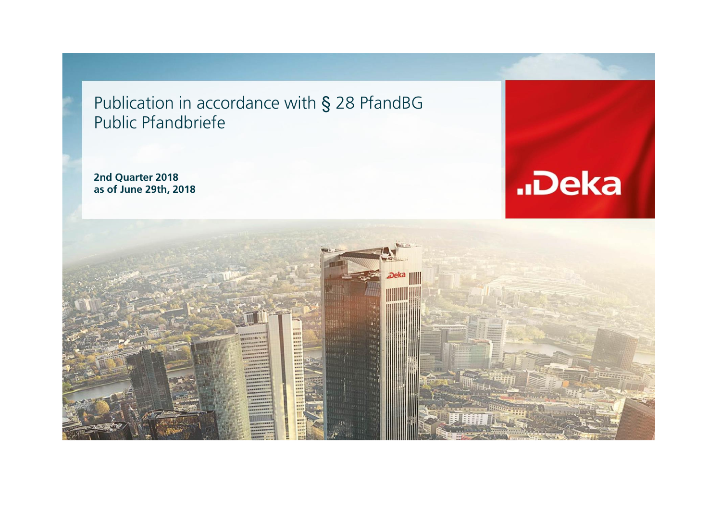Publication in accordance with § 28 PfandBG Public Pfandbriefe

**2nd Quarter 2018 as of June 29th, 2018**



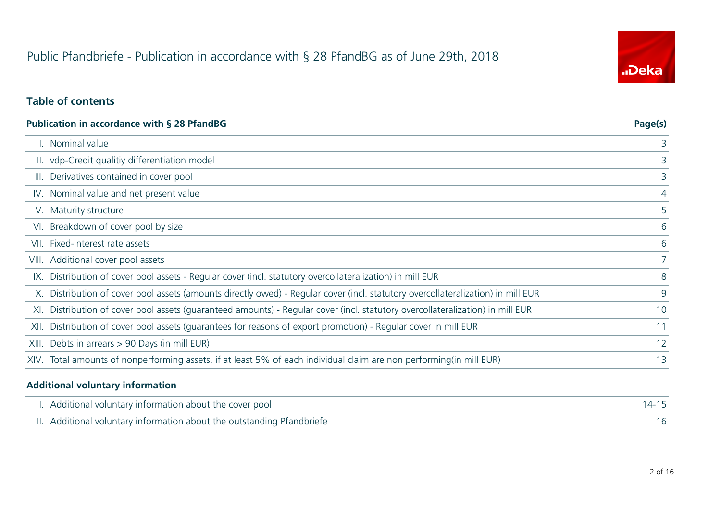# Public Pfandbriefe - Publication in accordance with § 28 PfandBG as of June 29th, 2018



### **Table of contents**

|       | <b>Publication in accordance with § 28 PfandBG</b>                                                                               | Page(s)        |
|-------|----------------------------------------------------------------------------------------------------------------------------------|----------------|
|       | . Nominal value                                                                                                                  | 3              |
|       | II. vdp-Credit qualitiy differentiation model                                                                                    | 3              |
| III.  | Derivatives contained in cover pool                                                                                              | 3              |
|       | IV. Nominal value and net present value                                                                                          | 4              |
|       | V. Maturity structure                                                                                                            | 5              |
|       | VI. Breakdown of cover pool by size                                                                                              | 6              |
| VII.  | Fixed-interest rate assets                                                                                                       | 6              |
|       | VIII. Additional cover pool assets                                                                                               | $\overline{7}$ |
|       | IX. Distribution of cover pool assets - Regular cover (incl. statutory overcollateralization) in mill EUR                        | 8              |
|       | X. Distribution of cover pool assets (amounts directly owed) - Regular cover (incl. statutory overcollateralization) in mill EUR | 9              |
| XI.   | Distribution of cover pool assets (guaranteed amounts) - Regular cover (incl. statutory overcollateralization) in mill EUR       | 10             |
| XII.  | Distribution of cover pool assets (quarantees for reasons of export promotion) - Regular cover in mill EUR                       | 11             |
| XIII. | Debts in arrears > 90 Days (in mill EUR)                                                                                         | 12             |
|       | XIV. Total amounts of nonperforming assets, if at least 5% of each individual claim are non performing(in mill EUR)              | 13             |
|       |                                                                                                                                  |                |

#### **Additional voluntary information**

 $\overline{a}$ 

| I. Additional voluntary information about the cover pool               |  |
|------------------------------------------------------------------------|--|
| II. Additional voluntary information about the outstanding Pfandbriefe |  |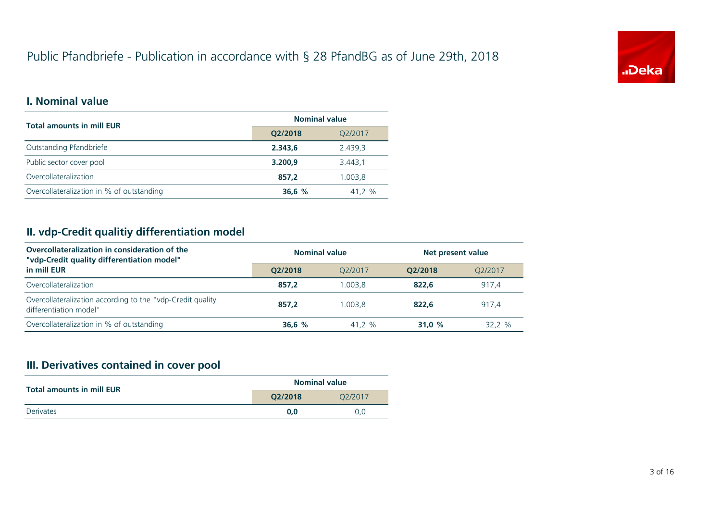# Public Pfandbriefe - Publication in accordance with § 28 PfandBG as of June 29th, 2018



### **I. Nominal value**

| <b>Total amounts in mill EUR</b>          | <b>Nominal value</b> |         |
|-------------------------------------------|----------------------|---------|
|                                           | Q2/2018              | Q2/2017 |
| Outstanding Pfandbriefe                   | 2.343,6              | 2.439,3 |
| Public sector cover pool                  | 3.200,9              | 3.443,1 |
| Overcollateralization                     | 857.2                | 1.003.8 |
| Overcollateralization in % of outstanding | 36,6%                | 41,2 %  |

#### **II. vdp-Credit qualitiy differentiation model**

| Overcollateralization in consideration of the<br>"vdp-Credit quality differentiation model" | <b>Nominal value</b> |         | Net present value |         |  |
|---------------------------------------------------------------------------------------------|----------------------|---------|-------------------|---------|--|
| in mill EUR                                                                                 | O2/2018              | O2/2017 | O2/2018           | 02/2017 |  |
| Overcollateralization                                                                       | 857.2                | 1.003.8 | 822.6             | 917,4   |  |
| Overcollateralization according to the "vdp-Credit quality<br>differentiation model"        | 857.2                | 1.003.8 | 822.6             | 917.4   |  |
| Overcollateralization in % of outstanding                                                   | 36,6%                | 41.2 %  | 31.0 $%$          | 32.2%   |  |

## **III. Derivatives contained in cover pool**

|                                  |         | <b>Nominal value</b><br>O <sub>2</sub> /2017 |
|----------------------------------|---------|----------------------------------------------|
| <b>Total amounts in mill EUR</b> | O2/2018 |                                              |
| Derivates                        | 0.0     | 0.0                                          |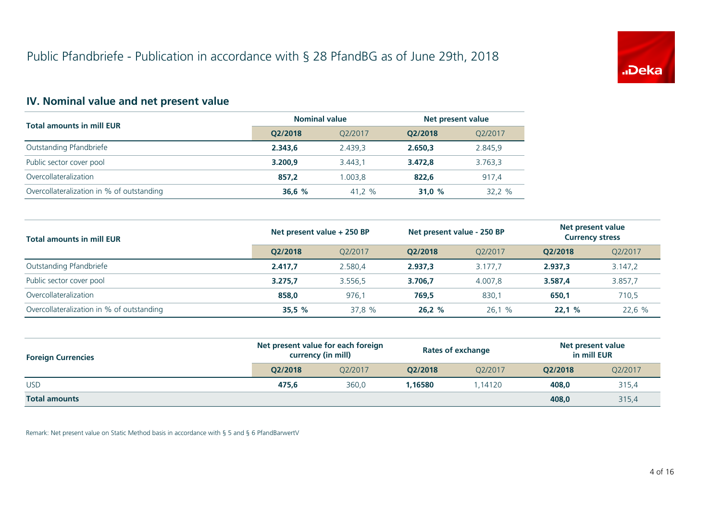

## **IV. Nominal value and net present value**

| <b>Total amounts in mill EUR</b>          | <b>Nominal value</b> |         | Net present value |         |
|-------------------------------------------|----------------------|---------|-------------------|---------|
|                                           | O2/2018              | O2/2017 | O2/2018           | Q2/2017 |
| Outstanding Pfandbriefe                   | 2.343.6              | 2.439.3 | 2.650.3           | 2.845,9 |
| Public sector cover pool                  | 3.200.9              | 3.443.1 | 3.472.8           | 3.763,3 |
| Overcollateralization                     | 857.2                | 1.003.8 | 822.6             | 917,4   |
| Overcollateralization in % of outstanding | 36,6%                | 41.2 %  | 31.0 $%$          | 32.2 %  |

| <b>Total amounts in mill EUR</b>          | Net present value + 250 BP |         | Net present value - 250 BP |         | Net present value<br><b>Currency stress</b> |         |
|-------------------------------------------|----------------------------|---------|----------------------------|---------|---------------------------------------------|---------|
|                                           | O2/2018                    | O2/2017 | O2/2018                    | O2/2017 | O2/2018                                     | Q2/2017 |
| Outstanding Pfandbriefe                   | 2.417.7                    | 2.580.4 | 2.937.3                    | 3.177.7 | 2.937.3                                     | 3.147,2 |
| Public sector cover pool                  | 3.275.7                    | 3.556.5 | 3.706.7                    | 4.007.8 | 3.587.4                                     | 3.857,7 |
| Overcollateralization                     | 858,0                      | 976,1   | 769.5                      | 830,1   | 650,1                                       | 710,5   |
| Overcollateralization in % of outstanding | 35.5%                      | 37,8 %  | 26,2%                      | 26,1 %  | 22.1%                                       | 22,6 %  |

| <b>Foreign Currencies</b> | Net present value for each foreign<br>currency (in mill) |         | Rates of exchange |         | Net present value<br>in mill EUR |         |
|---------------------------|----------------------------------------------------------|---------|-------------------|---------|----------------------------------|---------|
|                           | O2/2018                                                  | O2/2017 | O2/2018           | O2/2017 | O2/2018                          | Q2/2017 |
| <b>USD</b>                | 475.6                                                    | 360.0   | 1,16580           | .14120  | 408.0                            | 315,4   |
| <b>Total amounts</b>      |                                                          |         |                   |         | 408.0                            | 315,4   |

Remark: Net present value on Static Method basis in accordance with § 5 and § 6 PfandBarwertV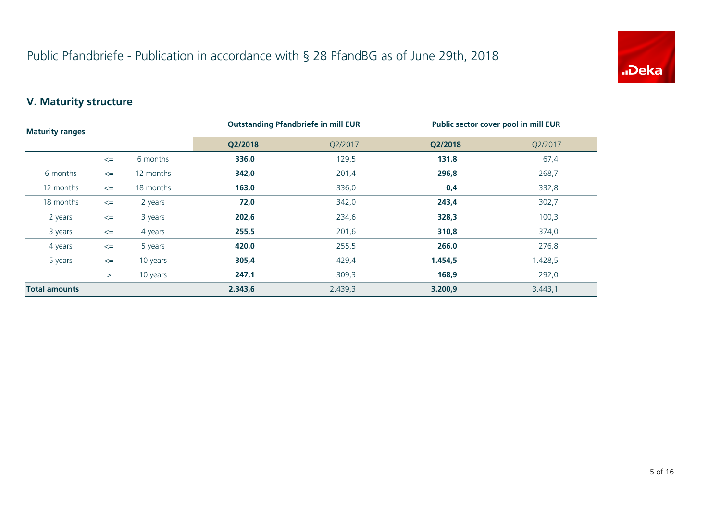

## **V. Maturity structure**

| <b>Maturity ranges</b> |        |           | <b>Outstanding Pfandbriefe in mill EUR</b> |         | Public sector cover pool in mill EUR |         |
|------------------------|--------|-----------|--------------------------------------------|---------|--------------------------------------|---------|
|                        |        |           | Q2/2018                                    | Q2/2017 | Q2/2018                              | Q2/2017 |
|                        | $\leq$ | 6 months  | 336,0                                      | 129,5   | 131,8                                | 67,4    |
| 6 months               | $\leq$ | 12 months | 342,0                                      | 201,4   | 296,8                                | 268,7   |
| 12 months              | $\leq$ | 18 months | 163,0                                      | 336,0   | 0,4                                  | 332,8   |
| 18 months              | $\leq$ | 2 years   | 72,0                                       | 342,0   | 243,4                                | 302,7   |
| 2 years                | $\leq$ | 3 years   | 202,6                                      | 234,6   | 328,3                                | 100,3   |
| 3 years                | $\leq$ | 4 years   | 255,5                                      | 201,6   | 310,8                                | 374,0   |
| 4 years                | $\leq$ | 5 years   | 420,0                                      | 255,5   | 266,0                                | 276,8   |
| 5 years                | $\leq$ | 10 years  | 305,4                                      | 429,4   | 1.454,5                              | 1.428,5 |
|                        | $\geq$ | 10 years  | 247,1                                      | 309,3   | 168,9                                | 292,0   |
| <b>Total amounts</b>   |        |           | 2.343,6                                    | 2.439,3 | 3.200,9                              | 3.443,1 |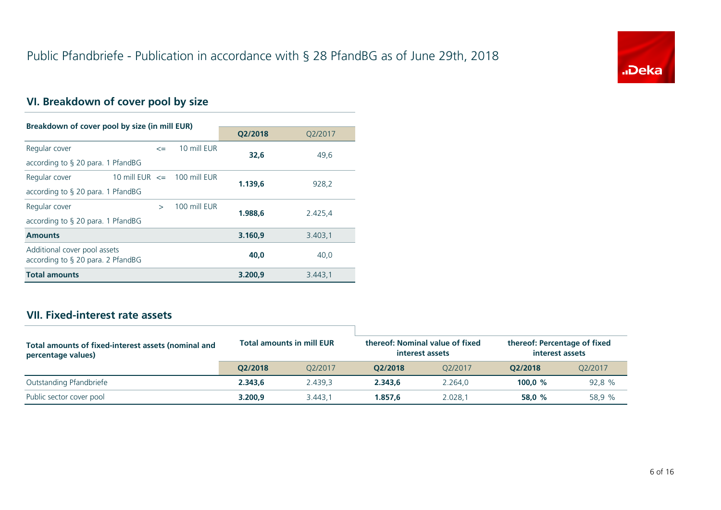

## **VI. Breakdown of cover pool by size**

| Breakdown of cover pool by size (in mill EUR)                        |                                 |              |         |         |  |  |
|----------------------------------------------------------------------|---------------------------------|--------------|---------|---------|--|--|
|                                                                      |                                 |              | Q2/2018 | Q2/2017 |  |  |
| Regular cover                                                        | $\leq$                          | 10 mill EUR  | 32.6    | 49,6    |  |  |
| according to $\S$ 20 para. 1 PfandBG                                 |                                 |              |         |         |  |  |
| Regular cover                                                        | 10 mill EUR $\leq$ 100 mill EUR |              | 1.139.6 | 928,2   |  |  |
| according to $\S$ 20 para. 1 PfandBG                                 |                                 |              |         |         |  |  |
| Regular cover                                                        | $\rightarrow$                   | 100 mill FUR | 1.988.6 | 2.425,4 |  |  |
| according to $\S$ 20 para. 1 PfandBG                                 |                                 |              |         |         |  |  |
| <b>Amounts</b>                                                       |                                 |              | 3.160.9 | 3.403,1 |  |  |
| Additional cover pool assets<br>according to $\S$ 20 para. 2 PfandBG |                                 |              | 40.0    | 40,0    |  |  |
| <b>Total amounts</b>                                                 |                                 |              | 3.200.9 | 3.443,1 |  |  |

## **VII. Fixed-interest rate assets**

| Total amounts of fixed-interest assets (nominal and<br>percentage values) | <b>Total amounts in mill EUR</b> |         | thereof: Nominal value of fixed<br>interest assets |         | thereof: Percentage of fixed<br>interest assets |         |
|---------------------------------------------------------------------------|----------------------------------|---------|----------------------------------------------------|---------|-------------------------------------------------|---------|
|                                                                           | O2/2018                          | O2/2017 | O2/2018                                            | 02/2017 | O2/2018                                         | O2/2017 |
| Outstanding Pfandbriefe                                                   | 2.343.6                          | 2.439.3 | 2.343.6                                            | 2.264.0 | 100.0 $%$                                       | 92,8 %  |
| Public sector cover pool                                                  | 3.200.9                          | 3.443.1 | 1.857.6                                            | 2.028.1 | 58.0 %                                          | 58.9 %  |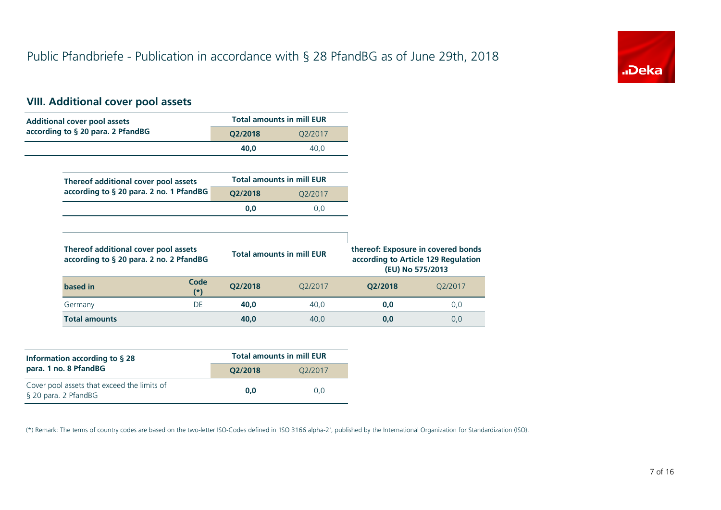

## **VIII. Additional cover pool assets**

| <b>Additional cover pool assets</b>                                             |                                                                                                                                   | <b>Total amounts in mill EUR</b> |         |         |
|---------------------------------------------------------------------------------|-----------------------------------------------------------------------------------------------------------------------------------|----------------------------------|---------|---------|
| according to § 20 para. 2 PfandBG                                               | Q2/2018                                                                                                                           | Q2/2017                          |         |         |
|                                                                                 | 40,0                                                                                                                              | 40,0                             |         |         |
|                                                                                 |                                                                                                                                   |                                  |         |         |
| Thereof additional cover pool assets                                            |                                                                                                                                   | <b>Total amounts in mill EUR</b> |         |         |
| according to § 20 para. 2 no. 1 PfandBG                                         | Q2/2018                                                                                                                           | Q2/2017                          |         |         |
|                                                                                 | 0,0                                                                                                                               | 0,0                              |         |         |
|                                                                                 |                                                                                                                                   |                                  |         |         |
| Thereof additional cover pool assets<br>according to § 20 para. 2 no. 2 PfandBG | thereof: Exposure in covered bonds<br><b>Total amounts in mill EUR</b><br>according to Article 129 Regulation<br>(EU) No 575/2013 |                                  |         |         |
| Code<br>based in<br>$^{\ast}$                                                   | Q2/2018                                                                                                                           | Q2/2017                          | Q2/2018 | Q2/2017 |
| <b>DE</b><br>Germany                                                            | 40,0                                                                                                                              | 40,0                             | 0,0     | 0,0     |
|                                                                                 |                                                                                                                                   |                                  |         |         |

| Information according to $\S$ 28                                    | <b>Total amounts in mill EUR</b> |                      |  |  |
|---------------------------------------------------------------------|----------------------------------|----------------------|--|--|
| para. 1 no. 8 PfandBG                                               | O2/2018                          | O <sub>2</sub> /2017 |  |  |
| Cover pool assets that exceed the limits of<br>§ 20 para. 2 PfandBG | 0.0                              | 0.0                  |  |  |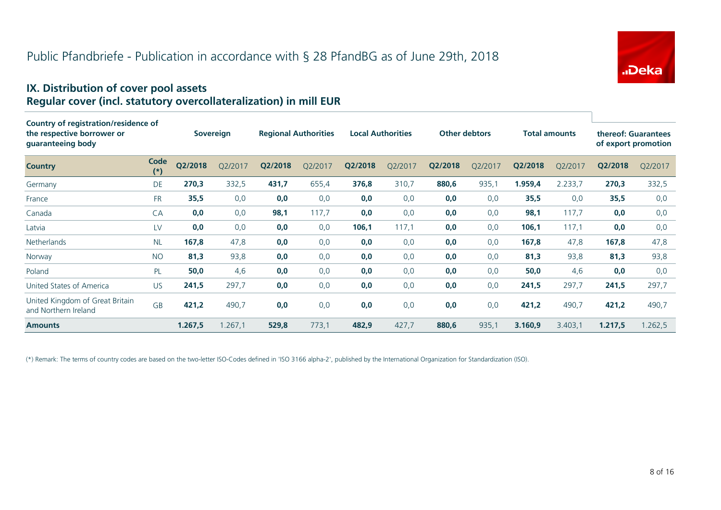

#### **IX. Distribution of cover pool assets Regular cover (incl. statutory overcollateralization) in mill EUR**

| Country of registration/residence of                    |               |                  |         |                             |         |                          |         |                      |         |                      |         |                                            |         |
|---------------------------------------------------------|---------------|------------------|---------|-----------------------------|---------|--------------------------|---------|----------------------|---------|----------------------|---------|--------------------------------------------|---------|
| the respective borrower or<br>guaranteeing body         |               | <b>Sovereign</b> |         | <b>Regional Authorities</b> |         | <b>Local Authorities</b> |         | <b>Other debtors</b> |         | <b>Total amounts</b> |         | thereof: Guarantees<br>of export promotion |         |
| <b>Country</b>                                          | Code<br>$(*)$ | Q2/2018          | Q2/2017 | Q2/2018                     | Q2/2017 | Q2/2018                  | Q2/2017 | Q2/2018              | Q2/2017 | Q2/2018              | Q2/2017 | Q2/2018                                    | Q2/2017 |
| Germany                                                 | DE            | 270,3            | 332,5   | 431,7                       | 655,4   | 376,8                    | 310,7   | 880,6                | 935,1   | 1.959,4              | 2.233,7 | 270,3                                      | 332,5   |
| France                                                  | <b>FR</b>     | 35,5             | 0,0     | 0,0                         | 0,0     | 0,0                      | 0,0     | 0,0                  | 0,0     | 35,5                 | 0,0     | 35,5                                       | 0,0     |
| Canada                                                  | CA            | 0,0              | 0,0     | 98,1                        | 117,7   | 0,0                      | 0,0     | 0,0                  | 0,0     | 98,1                 | 117,7   | 0,0                                        | 0,0     |
| Latvia                                                  | LV            | 0,0              | 0,0     | 0,0                         | 0,0     | 106,1                    | 117,1   | 0,0                  | 0,0     | 106,1                | 117,1   | 0,0                                        | 0,0     |
| Netherlands                                             | <b>NL</b>     | 167,8            | 47,8    | 0,0                         | 0,0     | 0,0                      | 0,0     | 0,0                  | 0,0     | 167,8                | 47,8    | 167,8                                      | 47,8    |
| Norway                                                  | <b>NO</b>     | 81,3             | 93,8    | 0,0                         | 0,0     | 0,0                      | 0,0     | 0,0                  | 0,0     | 81,3                 | 93,8    | 81,3                                       | 93,8    |
| Poland                                                  | PL            | 50,0             | 4,6     | 0,0                         | 0,0     | 0,0                      | 0,0     | 0,0                  | 0,0     | 50,0                 | 4,6     | 0,0                                        | 0,0     |
| United States of America                                | <b>US</b>     | 241,5            | 297,7   | 0,0                         | 0,0     | 0,0                      | 0,0     | 0,0                  | 0,0     | 241,5                | 297,7   | 241,5                                      | 297,7   |
| United Kingdom of Great Britain<br>and Northern Ireland | <b>GB</b>     | 421,2            | 490,7   | 0,0                         | 0,0     | 0,0                      | 0,0     | 0,0                  | 0,0     | 421,2                | 490,7   | 421,2                                      | 490,7   |
| <b>Amounts</b>                                          |               | 1.267,5          | 1.267,1 | 529,8                       | 773,1   | 482,9                    | 427,7   | 880,6                | 935,1   | 3.160,9              | 3.403,1 | 1.217,5                                    | 1.262,5 |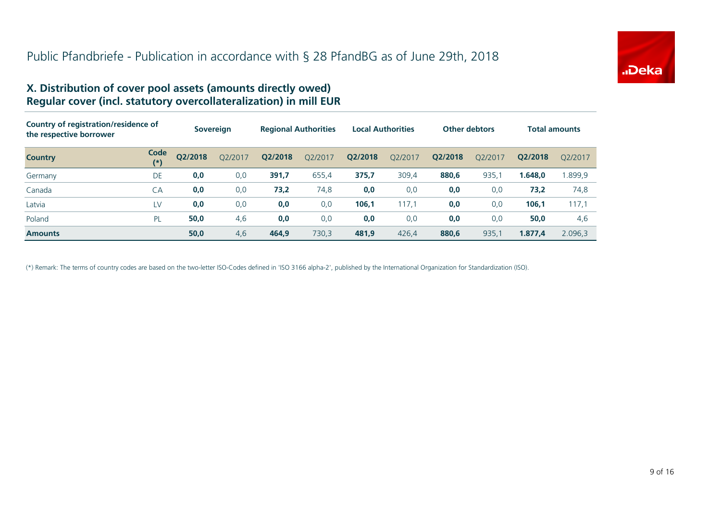

#### **X. Distribution of cover pool assets (amounts directly owed) Regular cover (incl. statutory overcollateralization) in mill EUR**

| Country of registration/residence of<br>the respective borrower |               |         | <b>Sovereign</b> | <b>Regional Authorities</b> |         | <b>Local Authorities</b> |         | <b>Other debtors</b> |         |         | <b>Total amounts</b> |
|-----------------------------------------------------------------|---------------|---------|------------------|-----------------------------|---------|--------------------------|---------|----------------------|---------|---------|----------------------|
| <b>Country</b>                                                  | Code<br>$(*)$ | Q2/2018 | Q2/2017          | Q2/2018                     | Q2/2017 | Q2/2018                  | Q2/2017 | Q2/2018              | O2/2017 | Q2/2018 | O2/2017              |
| Germany                                                         | DE            | 0,0     | 0,0              | 391,7                       | 655,4   | 375,7                    | 309,4   | 880,6                | 935,    | 1.648,0 | 899,9                |
| Canada                                                          | CA            | 0,0     | 0,0              | 73,2                        | 74,8    | 0,0                      | 0,0     | 0,0                  | 0,0     | 73,2    | 74,8                 |
| Latvia                                                          | LV            | 0,0     | 0,0              | 0,0                         | 0,0     | 106,1                    | 117,1   | 0,0                  | 0,0     | 106,1   | 117,1                |
| Poland                                                          | PL            | 50,0    | 4,6              | 0,0                         | 0,0     | 0,0                      | 0,0     | 0,0                  | 0,0     | 50,0    | 4,6                  |
| <b>Amounts</b>                                                  |               | 50,0    | 4,6              | 464,9                       | 730.3   | 481.9                    | 426,4   | 880,6                | 935,1   | 1.877,4 | 2.096.3              |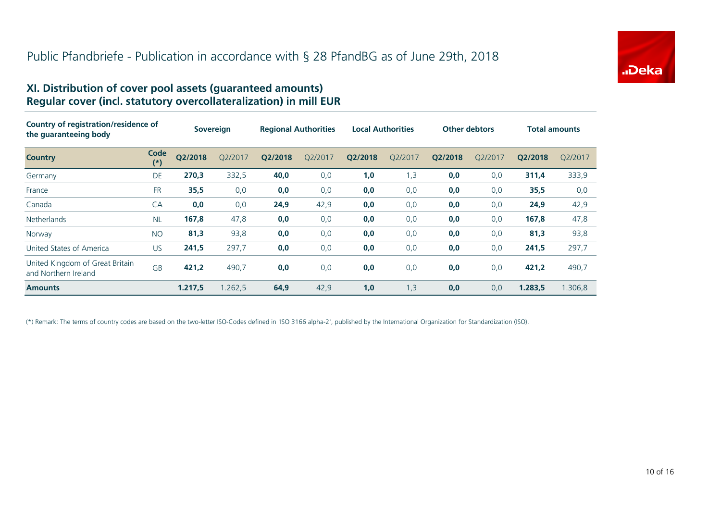

#### **XI. Distribution of cover pool assets (guaranteed amounts) Regular cover (incl. statutory overcollateralization) in mill EUR**

| Country of registration/residence of<br>the guaranteeing body |               | <b>Sovereign</b> |         | <b>Regional Authorities</b> |         | <b>Local Authorities</b> |         | <b>Other debtors</b> |         | <b>Total amounts</b> |         |
|---------------------------------------------------------------|---------------|------------------|---------|-----------------------------|---------|--------------------------|---------|----------------------|---------|----------------------|---------|
| <b>Country</b>                                                | Code<br>$(*)$ | Q2/2018          | O2/2017 | Q2/2018                     | O2/2017 | Q2/2018                  | O2/2017 | Q2/2018              | O2/2017 | Q2/2018              | O2/2017 |
| Germany                                                       | DE            | 270,3            | 332,5   | 40,0                        | 0,0     | 1,0                      | 1,3     | 0,0                  | 0,0     | 311,4                | 333,9   |
| France                                                        | <b>FR</b>     | 35,5             | 0,0     | 0,0                         | 0,0     | 0,0                      | 0,0     | 0,0                  | 0,0     | 35,5                 | 0,0     |
| Canada                                                        | CA            | 0,0              | 0,0     | 24,9                        | 42,9    | 0,0                      | 0,0     | 0,0                  | 0,0     | 24,9                 | 42,9    |
| <b>Netherlands</b>                                            | <b>NL</b>     | 167,8            | 47,8    | 0,0                         | 0,0     | 0,0                      | 0,0     | 0,0                  | 0,0     | 167,8                | 47,8    |
| Norway                                                        | <b>NO</b>     | 81,3             | 93,8    | 0,0                         | 0,0     | 0,0                      | 0,0     | 0,0                  | 0,0     | 81,3                 | 93,8    |
| United States of America                                      | <b>US</b>     | 241,5            | 297,7   | 0,0                         | 0,0     | 0,0                      | 0,0     | 0,0                  | 0,0     | 241,5                | 297,7   |
| United Kingdom of Great Britain<br>and Northern Ireland       | <b>GB</b>     | 421,2            | 490,7   | 0,0                         | 0,0     | 0,0                      | 0,0     | 0,0                  | 0,0     | 421,2                | 490,7   |
| <b>Amounts</b>                                                |               | 1.217,5          | 1.262,5 | 64,9                        | 42,9    | 1,0                      | 1,3     | 0,0                  | 0,0     | 1.283,5              | 1.306,8 |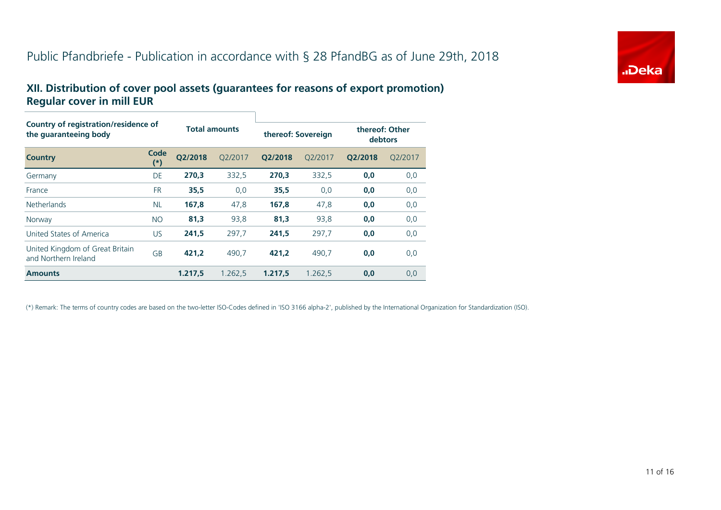## Public Pfandbriefe - Publication in accordance with § 28 PfandBG as of June 29th, 2018



#### **XII. Distribution of cover pool assets (guarantees for reasons of export promotion) Regular cover in mill EUR**

| Country of registration/residence of<br>the quaranteeing body |               |         | <b>Total amounts</b> |         | thereof: Sovereign |         | thereof: Other<br>debtors |  |  |
|---------------------------------------------------------------|---------------|---------|----------------------|---------|--------------------|---------|---------------------------|--|--|
| <b>Country</b>                                                | Code<br>$(*)$ | O2/2018 | O2/2017              | O2/2018 | O2/2017            | O2/2018 | O2/2017                   |  |  |
| Germany                                                       | DE            | 270,3   | 332,5                | 270.3   | 332,5              | 0,0     | 0,0                       |  |  |
| France                                                        | <b>FR</b>     | 35,5    | 0,0                  | 35,5    | 0,0                | 0,0     | 0,0                       |  |  |
| <b>Netherlands</b>                                            | <b>NL</b>     | 167.8   | 47,8                 | 167.8   | 47,8               | 0,0     | 0,0                       |  |  |
| Norway                                                        | <b>NO</b>     | 81,3    | 93,8                 | 81,3    | 93,8               | 0,0     | 0,0                       |  |  |
| United States of America                                      | <b>US</b>     | 241,5   | 297,7                | 241.5   | 297,7              | 0,0     | 0,0                       |  |  |
| United Kingdom of Great Britain<br>and Northern Ireland       | <b>GB</b>     | 421.2   | 490.7                | 421.2   | 490.7              | 0,0     | 0,0                       |  |  |
| <b>Amounts</b>                                                |               | 1.217,5 | 1.262,5              | 1.217,5 | 1.262,5            | 0,0     | 0,0                       |  |  |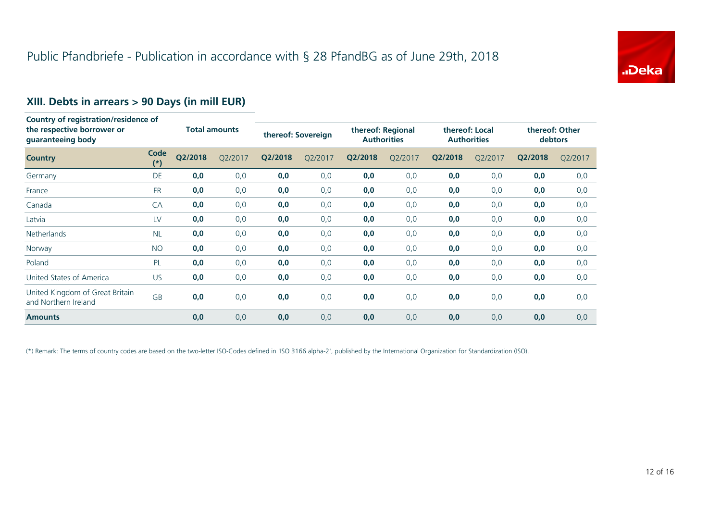

## **XIII. Debts in arrears > 90 Days (in mill EUR)**

| <b>Country of registration/residence of</b><br>the respective borrower or<br>guaranteeing body |                   |                      |         |                    |         |                                         |         |                                      |         |                           |         |
|------------------------------------------------------------------------------------------------|-------------------|----------------------|---------|--------------------|---------|-----------------------------------------|---------|--------------------------------------|---------|---------------------------|---------|
|                                                                                                |                   | <b>Total amounts</b> |         | thereof: Sovereign |         | thereof: Regional<br><b>Authorities</b> |         | thereof: Local<br><b>Authorities</b> |         | thereof: Other<br>debtors |         |
| <b>Country</b>                                                                                 | Code<br>$^{\ast}$ | Q2/2018              | Q2/2017 | Q2/2018            | Q2/2017 | Q2/2018                                 | Q2/2017 | Q2/2018                              | Q2/2017 | Q2/2018                   | Q2/2017 |
| Germany                                                                                        | DE                | 0,0                  | 0,0     | 0,0                | 0,0     | 0,0                                     | 0,0     | 0,0                                  | 0,0     | 0,0                       | 0,0     |
| France                                                                                         | <b>FR</b>         | 0,0                  | 0,0     | 0,0                | 0,0     | 0,0                                     | 0,0     | 0,0                                  | 0,0     | 0,0                       | 0,0     |
| Canada                                                                                         | <b>CA</b>         | 0,0                  | 0,0     | 0,0                | 0,0     | 0,0                                     | 0,0     | 0,0                                  | 0,0     | 0,0                       | 0,0     |
| Latvia                                                                                         | LV                | 0,0                  | 0,0     | 0,0                | 0,0     | 0,0                                     | 0,0     | 0,0                                  | 0,0     | 0,0                       | 0,0     |
| <b>Netherlands</b>                                                                             | <b>NL</b>         | 0,0                  | 0,0     | 0,0                | 0,0     | 0,0                                     | 0,0     | 0,0                                  | 0,0     | 0,0                       | 0,0     |
| Norway                                                                                         | <b>NO</b>         | 0,0                  | 0,0     | 0,0                | 0,0     | 0,0                                     | 0,0     | 0,0                                  | 0,0     | 0,0                       | 0,0     |
| Poland                                                                                         | PL                | 0,0                  | 0,0     | 0,0                | 0,0     | 0,0                                     | 0,0     | 0,0                                  | 0,0     | 0,0                       | 0,0     |
| United States of America                                                                       | <b>US</b>         | 0,0                  | 0,0     | 0,0                | 0,0     | 0,0                                     | 0,0     | 0,0                                  | 0,0     | 0,0                       | 0,0     |
| United Kingdom of Great Britain<br>and Northern Ireland                                        | GB                | 0,0                  | 0,0     | 0,0                | 0,0     | 0,0                                     | 0,0     | 0,0                                  | 0,0     | 0,0                       | 0,0     |
| <b>Amounts</b>                                                                                 |                   | 0,0                  | 0,0     | 0,0                | 0,0     | 0,0                                     | 0,0     | 0,0                                  | 0,0     | 0,0                       | 0,0     |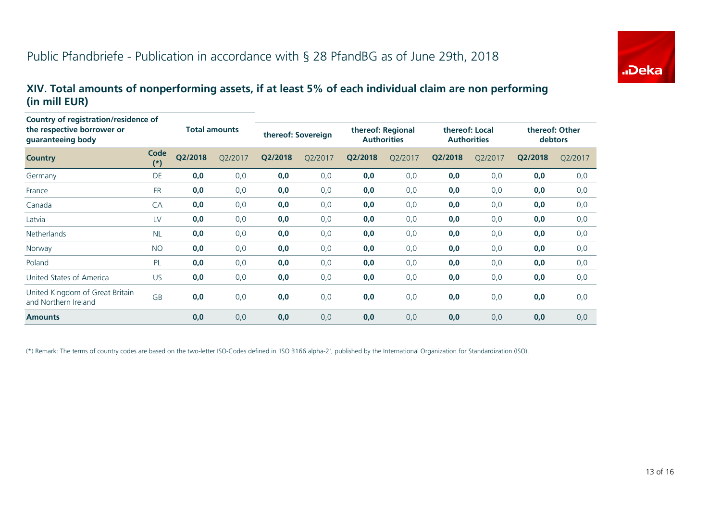

#### **XIV. Total amounts of nonperforming assets, if at least 5% of each individual claim are non performing (in mill EUR)**

| Country of registration/residence of<br>the respective borrower or<br>guaranteeing body |               | <b>Total amounts</b> |         | thereof: Sovereign |         | thereof: Regional<br><b>Authorities</b> |         | thereof: Local<br><b>Authorities</b> |         | thereof: Other<br>debtors |         |
|-----------------------------------------------------------------------------------------|---------------|----------------------|---------|--------------------|---------|-----------------------------------------|---------|--------------------------------------|---------|---------------------------|---------|
| <b>Country</b>                                                                          | Code<br>$(*)$ | Q2/2018              | Q2/2017 | Q2/2018            | Q2/2017 | Q2/2018                                 | Q2/2017 | Q2/2018                              | Q2/2017 | Q2/2018                   | Q2/2017 |
| Germany                                                                                 | DE            | 0,0                  | 0,0     | 0,0                | 0,0     | 0,0                                     | 0,0     | 0,0                                  | 0,0     | 0,0                       | 0,0     |
| France                                                                                  | <b>FR</b>     | 0,0                  | 0,0     | 0,0                | 0,0     | 0,0                                     | 0,0     | 0,0                                  | 0,0     | 0,0                       | 0,0     |
| Canada                                                                                  | CA            | 0,0                  | 0,0     | 0,0                | 0,0     | 0,0                                     | 0,0     | 0,0                                  | 0,0     | 0,0                       | 0,0     |
| Latvia                                                                                  | LV            | 0,0                  | 0,0     | 0,0                | 0,0     | 0,0                                     | 0,0     | 0,0                                  | 0,0     | 0,0                       | 0,0     |
| <b>Netherlands</b>                                                                      | <b>NL</b>     | 0,0                  | 0,0     | 0,0                | 0,0     | 0,0                                     | 0,0     | 0,0                                  | 0,0     | 0,0                       | 0,0     |
| Norway                                                                                  | <b>NO</b>     | 0,0                  | 0,0     | 0,0                | 0,0     | 0,0                                     | 0,0     | 0,0                                  | 0,0     | 0,0                       | 0,0     |
| Poland                                                                                  | PL            | 0,0                  | 0,0     | 0,0                | 0,0     | 0,0                                     | 0,0     | 0,0                                  | 0,0     | 0,0                       | 0,0     |
| United States of America                                                                | US.           | 0,0                  | 0,0     | 0,0                | 0,0     | 0,0                                     | 0,0     | 0,0                                  | 0,0     | 0,0                       | 0,0     |
| United Kingdom of Great Britain<br>and Northern Ireland                                 | <b>GB</b>     | 0,0                  | 0,0     | 0,0                | 0,0     | 0,0                                     | 0,0     | 0,0                                  | 0,0     | 0,0                       | 0,0     |
| <b>Amounts</b>                                                                          |               | 0,0                  | 0,0     | 0,0                | 0,0     | 0,0                                     | 0,0     | 0,0                                  | 0,0     | 0,0                       | 0,0     |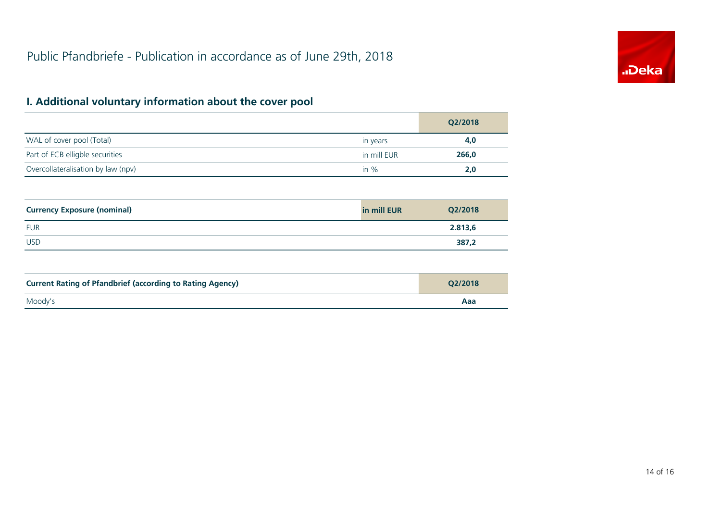

## **I. Additional voluntary information about the cover pool**

|                                    |             | Q2/2018 |
|------------------------------------|-------------|---------|
| WAL of cover pool (Total)          | in years    | 4,0     |
| Part of ECB elligble securities    | in mill EUR | 266,0   |
| Overcollateralisation by law (npv) | in $\%$     | 2.0     |

| <b>Currency Exposure (nominal)</b> | in mill EUR | Q2/2018 |
|------------------------------------|-------------|---------|
| <b>EUR</b>                         |             | 2.813,6 |
| <b>USD</b>                         |             | 387,2   |

| <b>Current Rating of Pfandbrief (according to Rating Agency)</b> | O2/2018 |
|------------------------------------------------------------------|---------|
| Moody's                                                          | Aaa     |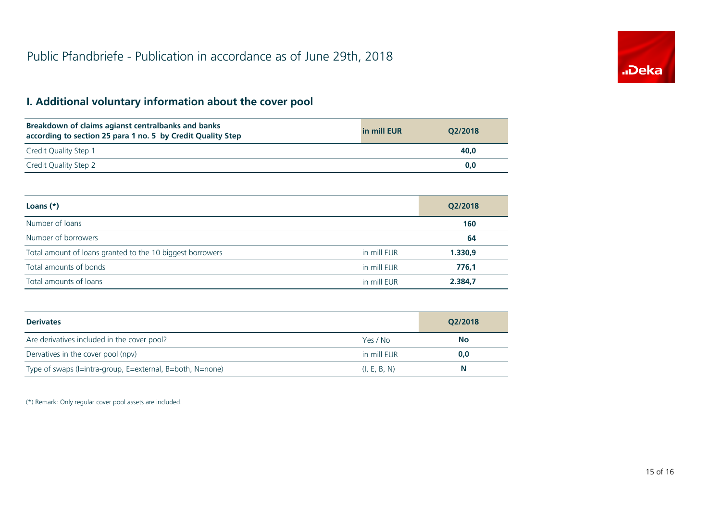## **I. Additional voluntary information about the cover pool**

| Breakdown of claims agianst centralbanks and banks<br>according to section 25 para 1 no. 5 by Credit Quality Step | in mill EUR | O2/2018 |
|-------------------------------------------------------------------------------------------------------------------|-------------|---------|
| Credit Quality Step 1                                                                                             |             | 40.0    |
| Credit Quality Step 2                                                                                             |             | 0,0     |

| Loans $(*)$                                               |             | Q2/2018 |
|-----------------------------------------------------------|-------------|---------|
| Number of loans                                           |             | 160     |
| Number of borrowers                                       |             | 64      |
| Total amount of loans granted to the 10 biggest borrowers | in mill EUR | 1.330,9 |
| Total amounts of bonds                                    | in mill EUR | 776.1   |
| Total amounts of loans                                    | in mill EUR | 2.384,7 |

| <b>Derivates</b>                                          |              | Q2/2018   |  |
|-----------------------------------------------------------|--------------|-----------|--|
| Are derivatives included in the cover pool?               | Yes / No     | <b>No</b> |  |
| Dervatives in the cover pool (npv)                        | in mill EUR  | 0,0       |  |
| Type of swaps (I=intra-group, E=external, B=both, N=none) | (I, E, B, N) | N         |  |

(\*) Remark: Only regular cover pool assets are included.